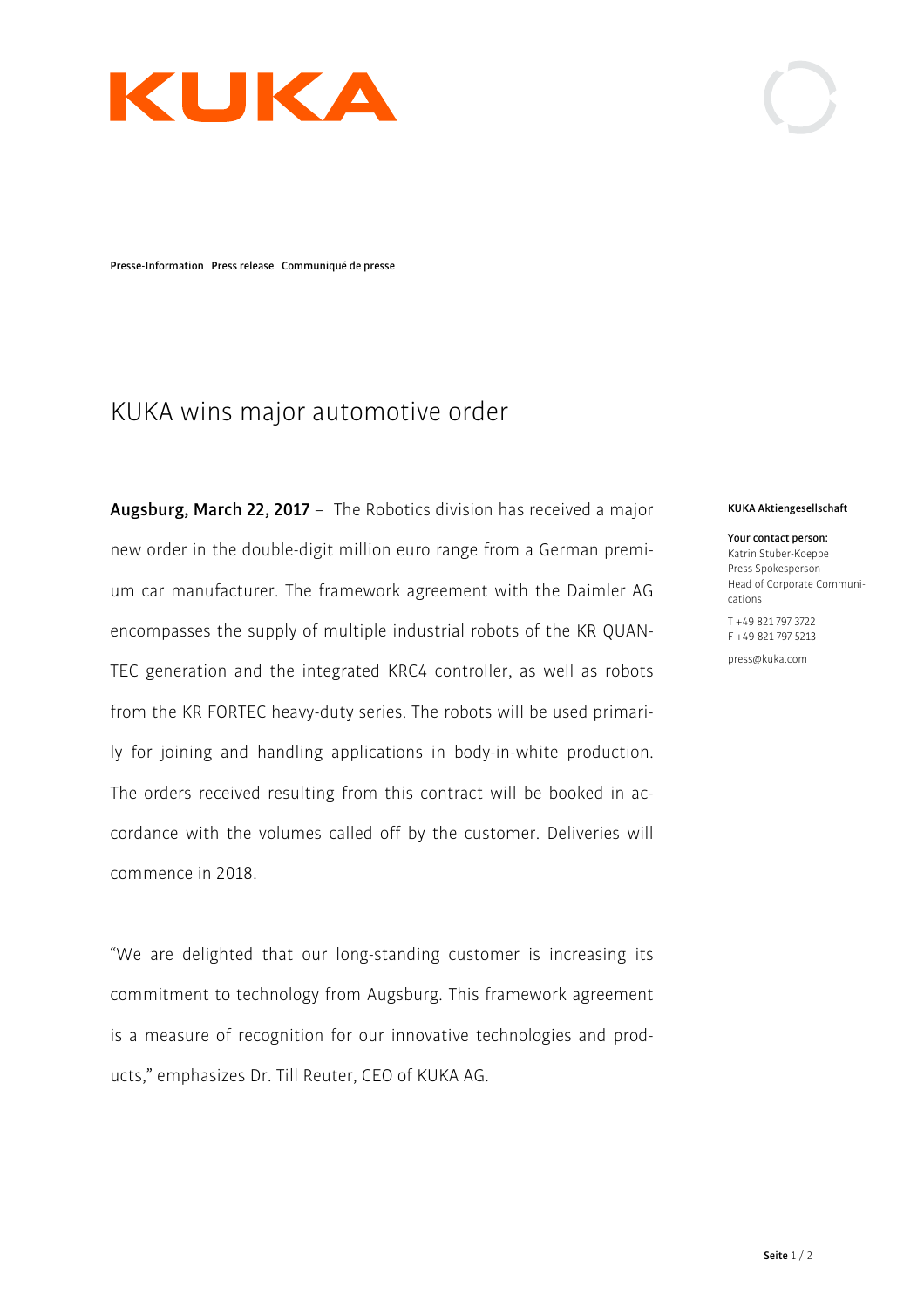

**Presse-Information Press release Communiqué de presse**

# KUKA wins major automotive order

**Augsburg, March 22, 2017** – The Robotics division has received a major new order in the double-digit million euro range from a German premium car manufacturer. The framework agreement with the Daimler AG encompasses the supply of multiple industrial robots of the KR QUAN-TEC generation and the integrated KRC4 controller, as well as robots from the KR FORTEC heavy-duty series. The robots will be used primarily for joining and handling applications in body-in-white production. The orders received resulting from this contract will be booked in accordance with the volumes called off by the customer. Deliveries will commence in 2018.

"We are delighted that our long-standing customer is increasing its commitment to technology from Augsburg. This framework agreement is a measure of recognition for our innovative technologies and products," emphasizes Dr. Till Reuter, CEO of KUKA AG.

#### **KUKA Aktiengesellschaft**

**Your contact person:**  Katrin Stuber-Koeppe Press Spokesperson Head of Corporate Communications

T +49 821 797 3722 F +49 821 797 5213

press@kuka.com